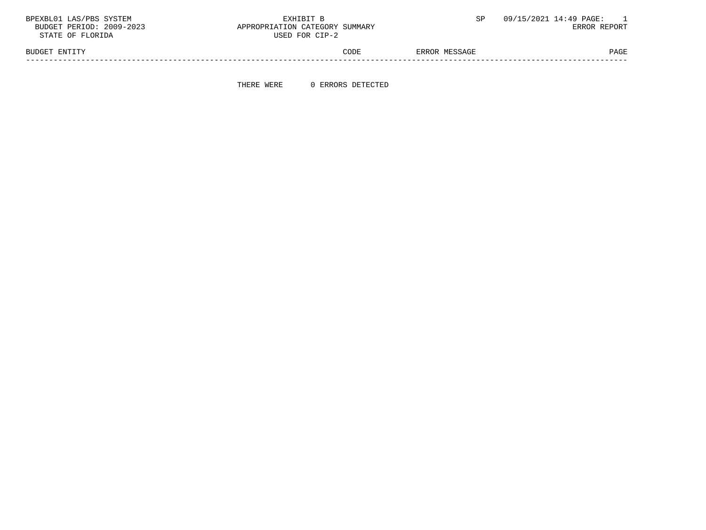BPEXBL01 LAS/PBS SYSTEM  $\,$  EXHIBIT B  $\,$  SP 09/15/2021 14:49 PAGE: 1  $\,$  BUDGET PERIOD: 2009-2023  $\,$  APPROPRIATION CATEGORY SUMMARY

APPROPRIATION CATEGORY SUMMARY USED FOR CIP-2

BUDGET ENTITY STATES AND RESOLUTION OF THE CODE SERROR MESSAGE PAGE PAGE PAGE -----------------------------------------------------------------------------------------------------------------------------------

THERE WERE 0 ERRORS DETECTED

|  | STATE OF FLORIDA |  |
|--|------------------|--|
|  |                  |  |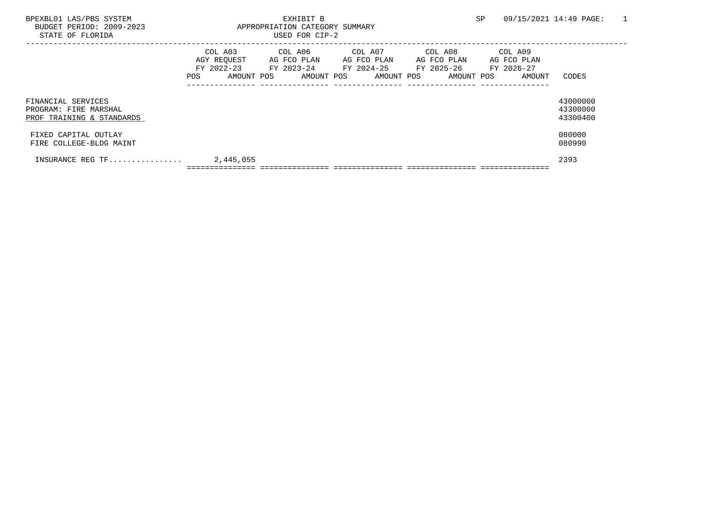| BPEXBL01 LAS/PBS SYSTEM<br>BUDGET PERIOD: 2009-2023<br>STATE OF FLORIDA  |           | EXHIBIT B<br>APPROPRIATION CATEGORY SUMMARY<br>USED FOR CIP-2                                                         |  |  | SP |                                                        | 09/15/2021 14:49 PAGE:           | $\overline{1}$ |
|--------------------------------------------------------------------------|-----------|-----------------------------------------------------------------------------------------------------------------------|--|--|----|--------------------------------------------------------|----------------------------------|----------------|
|                                                                          |           | AGY REQUEST AG FCO PLAN AG FCO PLAN AG FCO PLAN AG FCO PLAN<br>FY 2022-23 FY 2023-24 FY 2024-25 FY 2025-26 FY 2026-27 |  |  |    | POS AMOUNT POS AMOUNT POS AMOUNT POS AMOUNT POS AMOUNT | CODES                            |                |
| FINANCIAL SERVICES<br>PROGRAM: FIRE MARSHAL<br>PROF TRAINING & STANDARDS |           |                                                                                                                       |  |  |    |                                                        | 43000000<br>43300000<br>43300400 |                |
| FIXED CAPITAL OUTLAY<br>FIRE COLLEGE-BLDG MAINT                          |           |                                                                                                                       |  |  |    |                                                        | 080000<br>080990                 |                |
| INSURANCE REG TF                                                         | 2,445,055 |                                                                                                                       |  |  |    |                                                        | 2393                             |                |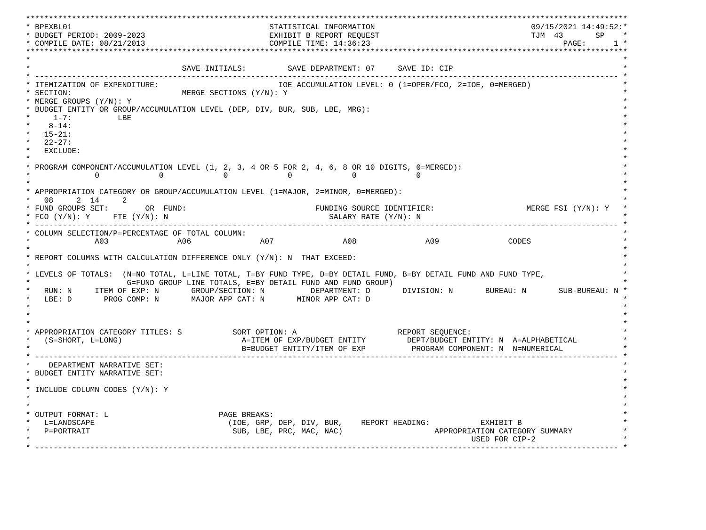\*\*\*\*\*\*\*\*\*\*\*\*\*\*\*\*\*\*\*\*\*\*\*\*\*\*\*\*\*\*\*\*\*\*\*\*\*\*\*\*\*\*\*\*\*\*\*\*\*\*\*\*\*\*\*\*\*\*\*\*\*\*\*\*\*\*\*\*\*\*\*\*\*\*\*\*\*\*\*\*\*\*\*\*\*\*\*\*\*\*\*\*\*\*\*\*\*\*\*\*\*\*\*\*\*\*\*\*\*\*\*\*\*\*\*\*\*\*\*\*\*\*\*\*\*\*\*\*\*\*\* \* BPEXBL01 STATISTICAL INFORMATION 09/15/2021 14:49:52:\* \* BUDGET PERIOD: 2009-2023 EXHIBIT B REPORT REQUEST TJM 43 SP \* \* COMPILE DATE: 08/21/2013 2000 COMPILE TIME: 14:36:23 \*\*\*\*\*\*\*\*\*\*\*\*\*\*\*\*\*\*\*\*\*\*\*\*\*\*\*\*\*\*\*\*\*\*\*\*\*\*\*\*\*\*\*\*\*\*\*\*\*\*\*\*\*\*\*\*\*\*\*\*\*\*\*\*\*\*\*\*\*\*\*\*\*\*\*\*\*\*\*\*\*\*\*\*\*\*\*\*\*\*\*\*\*\*\*\*\*\*\*\*\*\*\*\*\*\*\*\*\*\*\*\*\*\*\*\*\*\*\*\*\*\*\*\*\*\*\*\*\*\*\*  $\star$   $\star$ SAVE INITIALS: SAVE DEPARTMENT: 07 SAVE ID: CIP \* ------------------------------------------------------------------------------------------------------------------------------- \* \* ITEMIZATION OF EXPENDITURE: IOE ACCUMULATION LEVEL: 0 (1=OPER/FCO, 2=IOE, 0=MERGED) \* \* SECTION: MERGE SECTIONS (Y/N): Y \* \* MERGE GROUPS (Y/N): Y \* \* BUDGET ENTITY OR GROUP/ACCUMULATION LEVEL (DEP, DIV, BUR, SUB, LBE, MRG): \*  $*$  1-7: LBE  $*$  $*$  8-14:  $*$  \* 15-21: \* \* 22-27: \* \* EXCLUDE: \*  $\star$   $\star$ PROGRAM COMPONENT/ACCUMULATION LEVEL  $(1, 2, 3, 4$  OR 5 FOR  $2, 4, 6, 8$  OR 10 DIGITS, 0=MERGED):<br>0 0 0 0  $\begin{array}{ccccccc} & & & & 0 & & & & 0 & & & 0 & & & 0 \ & & & & & 0 & & & & & 0 & & & 0 \end{array}$  $\star$   $\star$  \* APPROPRIATION CATEGORY OR GROUP/ACCUMULATION LEVEL (1=MAJOR, 2=MINOR, 0=MERGED): \* \* 08 2 14 2 \* \* FUND GROUPS SET: OR FUND: THE SOURCE IDENTIFIER: THE MERGE FSI (Y/N): Y \* FCO (Y/N): Y FTE (Y/N): N SALARY RATE (Y/N): N \* \* ------------------------------------------------------------------------------------------------------------------------------- \* \* COLUMN SELECTION/P=PERCENTAGE OF TOTAL COLUMN: \* \* A03 A06 A07 A08 A09 CODES \*  $\star$   $\star$  \* REPORT COLUMNS WITH CALCULATION DIFFERENCE ONLY (Y/N): N THAT EXCEED: \* \* \* \* LEVELS OF TOTALS: (N=NO TOTAL, L=LINE TOTAL, T=BY FUND TYPE, D=BY DETAIL FUND, B=BY DETAIL FUND AND FUND TYPE, \* G=FUND GROUP LINE TOTALS, E=BY DETAIL FUND AND FUND GROUP) \* RUN: N ITEM OF EXP: N GROUP/SECTION: N DEPARTMENT: D DIVISION: N BUREAU: N SUB-BUREAU: N \* LBE: D PROG COMP: N MAJOR APP CAT: N MINOR APP CAT: D \* \*  $\star$   $\star$  $\star$   $\star$  \* APPROPRIATION CATEGORY TITLES: S SORT OPTION: A REPORT SEQUENCE: \* (S=SHORT, L=LONG)  $A=ITEM$  OF EXP/BUDGET ENTITY DEPT/BUDGET ENTITY: N A=ALPHABETICAL B=BUDGET ENTITY/ITEM OF EXP PROGRAM COMPONENT: N N=NUMERICAL \* ------------------------------------------------------------------------------------------------------------------------------- \* DEPARTMENT NARRATIVE SET: \* BUDGET ENTITY NARRATIVE SET: \*  $\star$   $\star$  \* INCLUDE COLUMN CODES (Y/N): Y \* \* \* \* \* \* OUTPUT FORMAT: L PAGE BREAKS:<br>
\* L=LANDSCAPE (IOE, GRP, \* L=LANDSCAPE (IOE, GRP, DEP, DIV, BUR, REPORT HEADING: EXHIBIT B \* APPROPRIATION CATEGORY SUMMARY USED FOR CIP-2  $\mathcal{L}^{\mathcal{L}}$